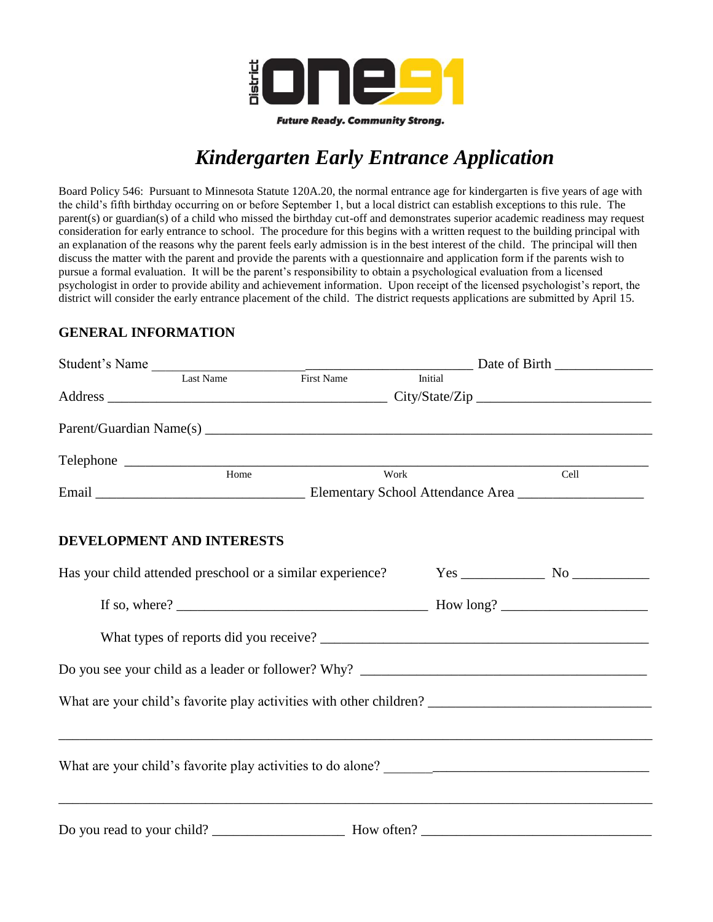

**Future Ready. Community Strong.** 

## *Kindergarten Early Entrance Application*

Board Policy 546: Pursuant to Minnesota Statute 120A.20, the normal entrance age for kindergarten is five years of age with the child's fifth birthday occurring on or before September 1, but a local district can establish exceptions to this rule. The parent(s) or guardian(s) of a child who missed the birthday cut-off and demonstrates superior academic readiness may request consideration for early entrance to school. The procedure for this begins with a written request to the building principal with an explanation of the reasons why the parent feels early admission is in the best interest of the child. The principal will then discuss the matter with the parent and provide the parents with a questionnaire and application form if the parents wish to pursue a formal evaluation. It will be the parent's responsibility to obtain a psychological evaluation from a licensed psychologist in order to provide ability and achievement information. Upon receipt of the licensed psychologist's report, the district will consider the early entrance placement of the child. The district requests applications are submitted by April 15.

## **GENERAL INFORMATION**

|                                  | Student's Name<br>Last Name<br>First Name<br>First Name |           |         |      |  |
|----------------------------------|---------------------------------------------------------|-----------|---------|------|--|
|                                  |                                                         |           | Initial |      |  |
|                                  |                                                         |           |         |      |  |
|                                  |                                                         |           |         |      |  |
|                                  |                                                         | Telephone |         |      |  |
|                                  | Home                                                    | Work      |         | Cell |  |
|                                  |                                                         |           |         |      |  |
|                                  |                                                         |           |         |      |  |
| <b>DEVELOPMENT AND INTERESTS</b> |                                                         |           |         |      |  |
|                                  |                                                         |           |         |      |  |
|                                  |                                                         |           |         |      |  |
|                                  |                                                         |           |         |      |  |
|                                  |                                                         |           |         |      |  |
|                                  |                                                         |           |         |      |  |
|                                  |                                                         |           |         |      |  |
|                                  |                                                         |           |         |      |  |
|                                  |                                                         |           |         |      |  |
|                                  |                                                         |           |         |      |  |
|                                  |                                                         |           |         |      |  |